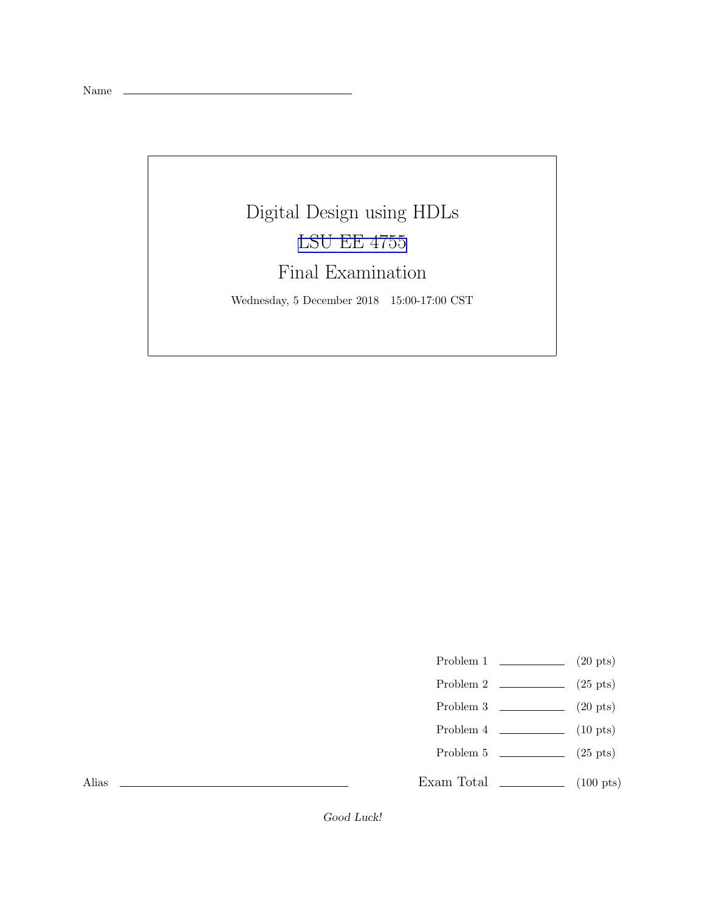Name

## Digital Design using HDLs [LSU EE 4755](https://www.ece.lsu.edu/koppel/v/) Final Examination

Wednesday, 5 December 2018 15:00-17:00 CST

- Problem 1  $\qquad \qquad$  (20 pts)
- Problem 2  $\qquad \qquad$  (25 pts)
- Problem 3 (20 pts)
- Problem 4  $\qquad \qquad$  (10 pts)
- Problem 5 (25 pts)
- Exam Total  $\qquad \qquad$  (100 pts)

Alias

Good Luck!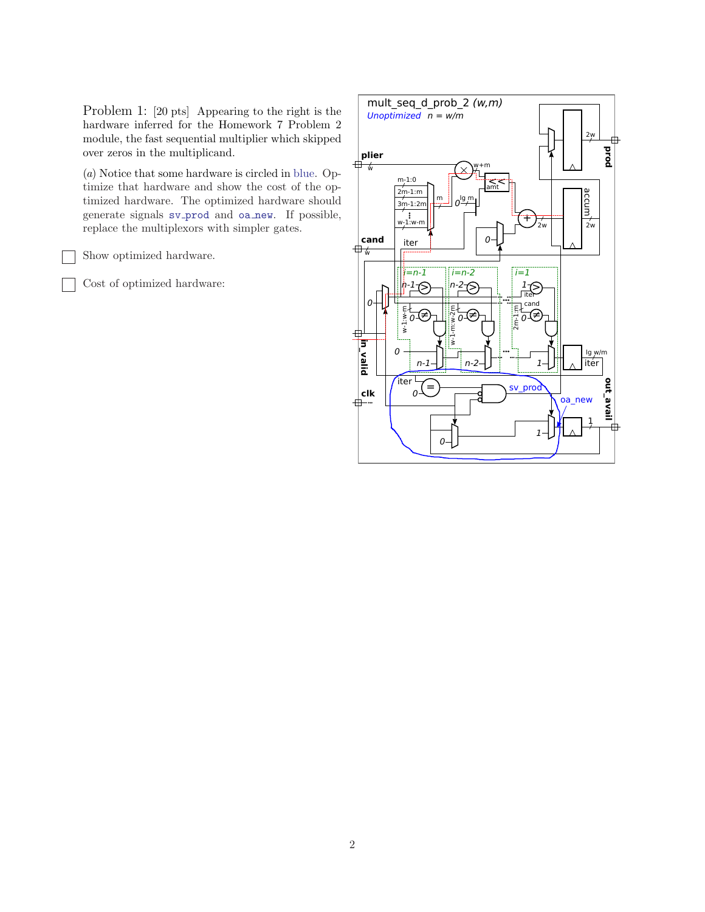Problem 1: [20 pts] Appearing to the right is the hardware inferred for the Homework 7 Problem 2 module, the fast sequential multiplier which skipped over zeros in the multiplicand.

(a) Notice that some hardware is circled in blue. Optimize that hardware and show the cost of the optimized hardware. The optimized hardware should generate signals sv prod and oa new. If possible, replace the multiplexors with simpler gates.

Show optimized hardware.

Cost of optimized hardware:

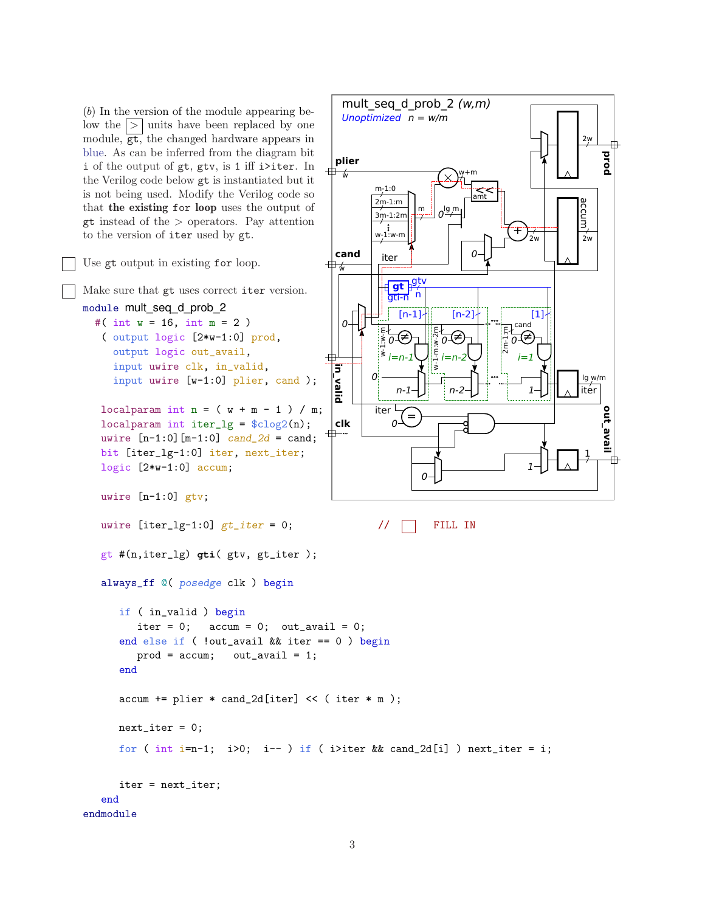(b) In the version of the module appearing below the  $| > |$  units have been replaced by one module, gt, the changed hardware appears in blue. As can be inferred from the diagram bit i of the output of gt, gtv, is 1 iff i>iter. In the Verilog code below gt is instantiated but it is not being used. Modify the Verilog code so that the existing for loop uses the output of gt instead of the > operators. Pay attention to the version of iter used by gt.



Make sure that gt uses correct iter version.

```
module mult_seq_d_prob_2
  #( int w = 16, int m = 2)
   ( output logic [2*w-1:0] prod,
     output logic out_avail,
```
input uwire clk, in\_valid, input uwire [w-1:0] plier, cand );

localparam int  $n = (w + m - 1) / m$ ; localparam int iter\_lg =  $\frac{\cosh(2\ln x)}{\cosh(2\ln x)}$ ; uwire  $[n-1:0]$   $[m-1:0]$   $cand_2d = cand;$ bit [iter\_lg-1:0] iter, next\_iter; logic [2\*w-1:0] accum;

```
uwire [n-1:0] gtv;
```

```
uwire [iter\_lg-1:0] gt_iter = 0; \frac{1}{\sqrt{1-\frac{1}{n}}} FILL IN
```
gt #(n,iter\_lg) **gti**( gtv, gt\_iter );

```
Unoptimized
n = w/m
                                                                                                                           2w
                                                                                                                                    prod
    plier
⊕ ‰
                                                                w+m
                       m-1:0amt
                      2m-1:maccum
                                            \frac{m}{\gamma} o^{lg} m
                       3m-1:2mw_1^{\{8\}} w-m
                                                                                         +
                                                                                                                          2w2w
    cand
                                                                     \Omegaiter
∯
                                gt p<sup>gtv</sup>
                             gti-n n
                                  [n-1][n-2] [1]
       \overline{0}cand
                                                   E<br>N-1-m:w-1<br>N-1-m
                                                                                     \frac{1}{2}<br>\frac{1}{2}<br>\frac{1}{2}\begin{matrix} \frac{1}{2} & \frac{1}{2} & \frac{1}{2} \\ \frac{1}{2} & \frac{1}{2} & \frac{1}{2} \\ \frac{1}{2} & \frac{1}{2} & \frac{1}{2} \\ \frac{1}{2} & \frac{1}{2} & \frac{1}{2} \end{matrix}⊽∉
                                                             ≠
                                                       0
⊞
   in_valid
                     0
                                                                                                                          lg w/m
                                                                                                                         iter
                                 n-1n-2
                                                                                                1
                       iter <sup>L</sup>
                                                                                                                                    out_avail
                                      =
    clk
                               \Omega-
毌
                                                                                                                            1
                                                                                                 1
                                              \Omega
```
mult seq d prob  $2 (w,m)$ 

```
always_ff @( posedge clk ) begin
      if ( in_valid ) begin
         iter = 0; \arctan = 0; \arctan \arctan 0;
      end else if ( !out_avail && iter == 0 ) begin
         prod = accum; out_avail = 1;end
      \text{accum} += plier * cand_2d[iter] << ( iter * m );
      next\_iter = 0;for ( int i=n-1; i>0; i-- ) if ( i>iter && cand_2d[i] ) next_iter = i;
      iter = next_iter;
   end
endmodule
```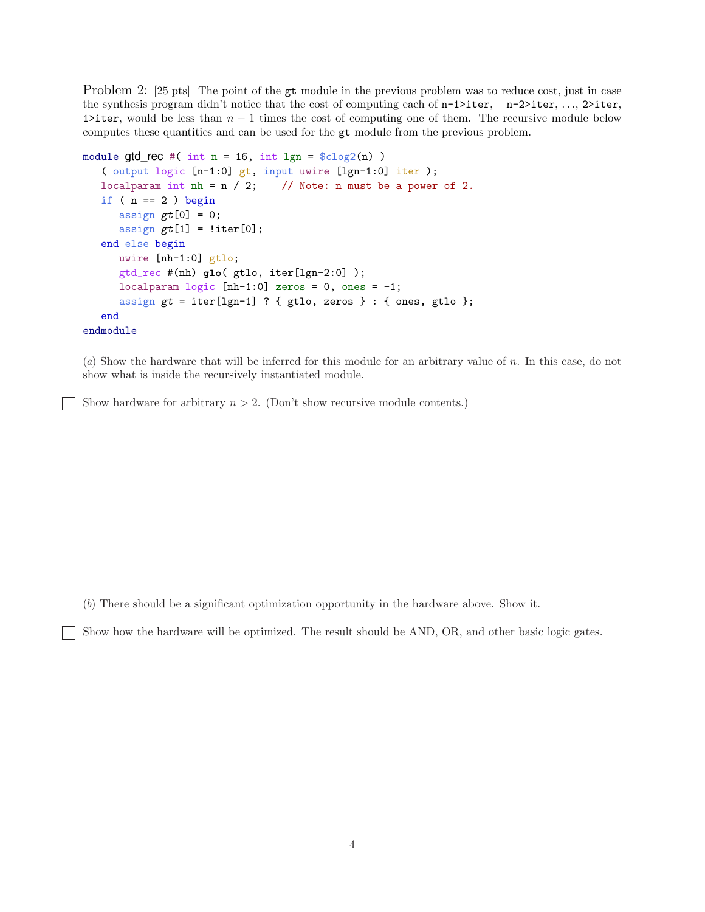Problem 2: [25 pts] The point of the gt module in the previous problem was to reduce cost, just in case the synthesis program didn't notice that the cost of computing each of  $n-1$ >iter,  $n-2$ >iter, ..., 2>iter, 1>iter, would be less than  $n-1$  times the cost of computing one of them. The recursive module below computes these quantities and can be used for the gt module from the previous problem.

```
module gtd_rec #( int n = 16, int lgn =lclog2(n) )
   ( output logic [n-1:0] gt, input uwire [lgn-1:0] iter );
   localparam int nh = n / 2; // Note: n must be a power of 2.
   if ( n == 2 ) begin
      assign gt[0] = 0;
      assign gt[1] = !iter[0];end else begin
     uwire [nh-1:0] gtlo;
      gtd_rec #(nh) glo( gtlo, iter[lgn-2:0] );
     localparam logic [nh-1:0] zeros = 0, ones = -1;
      assign gt = iter[lgn-1] ? { gtlo, zeros } : { ones, gtlo };
   end
endmodule
```
(a) Show the hardware that will be inferred for this module for an arbitrary value of n. In this case, do not show what is inside the recursively instantiated module.

Show hardware for arbitrary  $n > 2$ . (Don't show recursive module contents.)

(b) There should be a significant optimization opportunity in the hardware above. Show it.

Show how the hardware will be optimized. The result should be AND, OR, and other basic logic gates.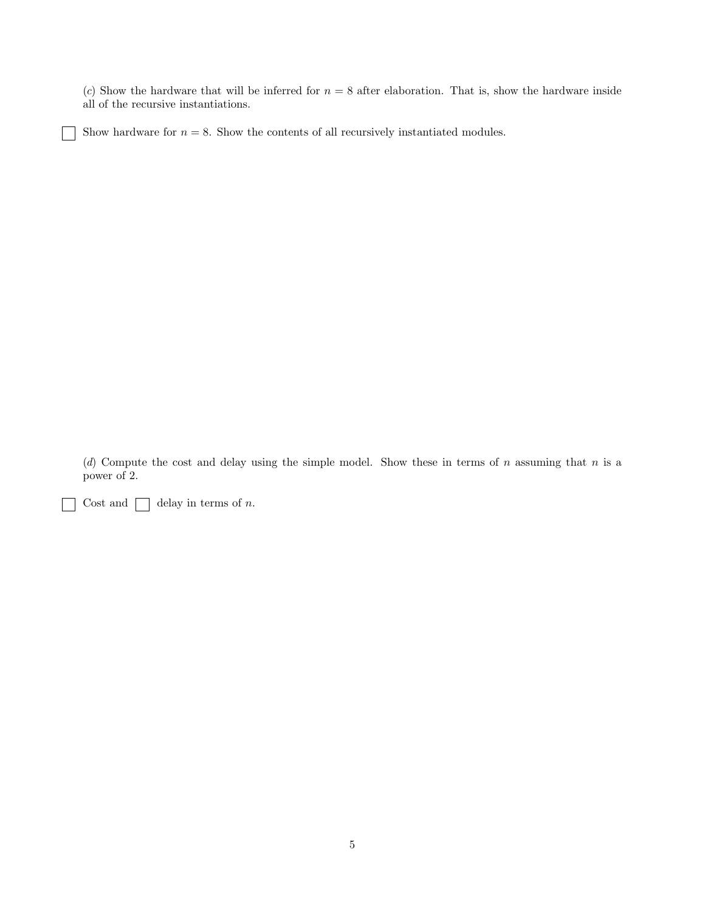(c) Show the hardware that will be inferred for  $n = 8$  after elaboration. That is, show the hardware inside all of the recursive instantiations.

Show hardware for  $n = 8$ . Show the contents of all recursively instantiated modules.

(d) Compute the cost and delay using the simple model. Show these in terms of  $n$  assuming that  $n$  is a power of 2.

Cost and  $\Box$  delay in terms of n.

 $\overline{1}$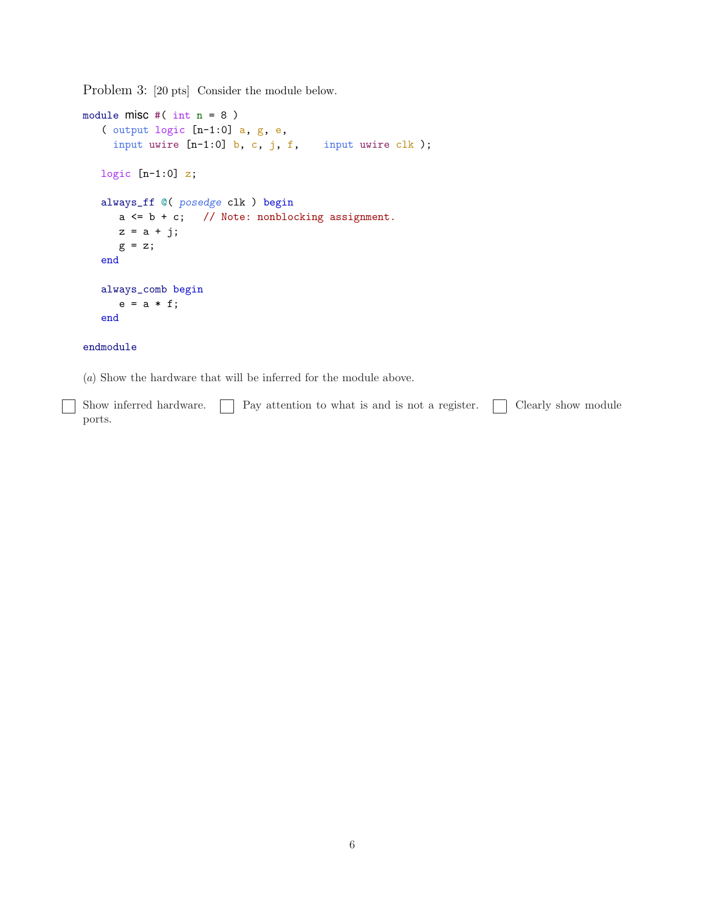Problem 3: [20 pts] Consider the module below.

```
module misc #( int n = 8 )
   ( output logic [n-1:0] a, g, e,
    input uwire [n-1:0] b, c, j, f, input uwire clk);
  logic [n-1:0] z;
  always_ff @( posedge clk ) begin
     a \leq b + c; // Note: nonblocking assignment.
     z = a + j;g = z;end
  always_comb begin
     e = a * f;end
endmodule
```
(a) Show the hardware that will be inferred for the module above.

Show inferred hardware.  $\Box$  Pay attention to what is and is not a register.  $\Box$  Clearly show module - 1 ports.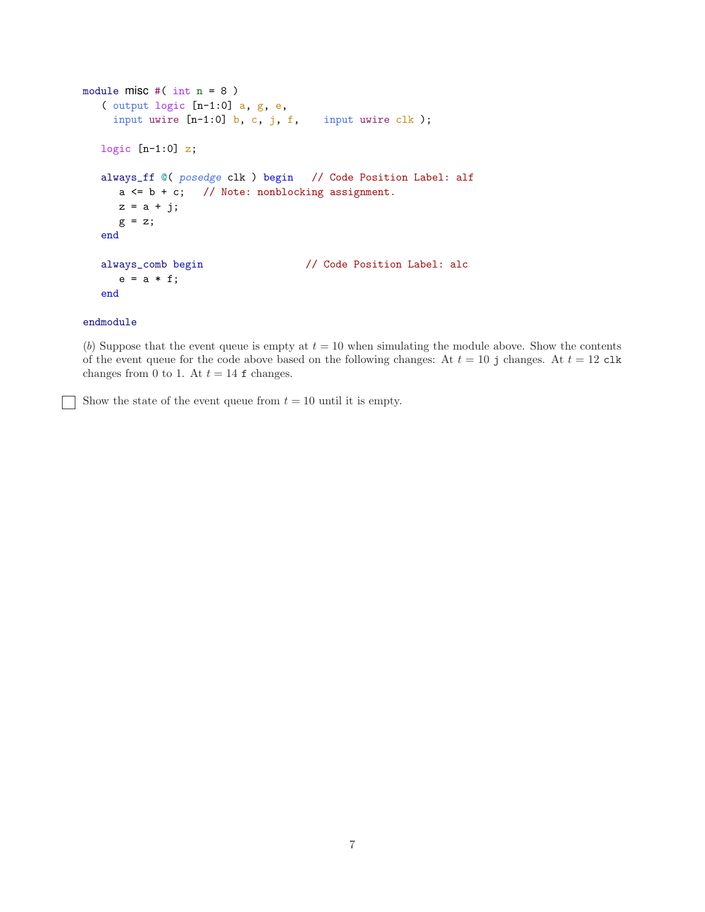```
module misc #(\text{int } n = 8)( output logic [n-1:0] a, g, e,
    input uwire [n-1:0] b, c, j, f, input uwire clk);
  logic [n-1:0] z;
  always_ff @( posedge clk ) begin // Code Position Label: alf
     a \leq b + c; // Note: nonblocking assignment.
     z = a + j;g = z;end
  always_comb begin // Code Position Label: alc
     e = a * f;end
```
## endmodule

(b) Suppose that the event queue is empty at  $t = 10$  when simulating the module above. Show the contents of the event queue for the code above based on the following changes: At  $t = 10$  j changes. At  $t = 12$  clk changes from 0 to 1. At  $t = 14$  f changes.

Show the state of the event queue from  $t = 10$  until it is empty.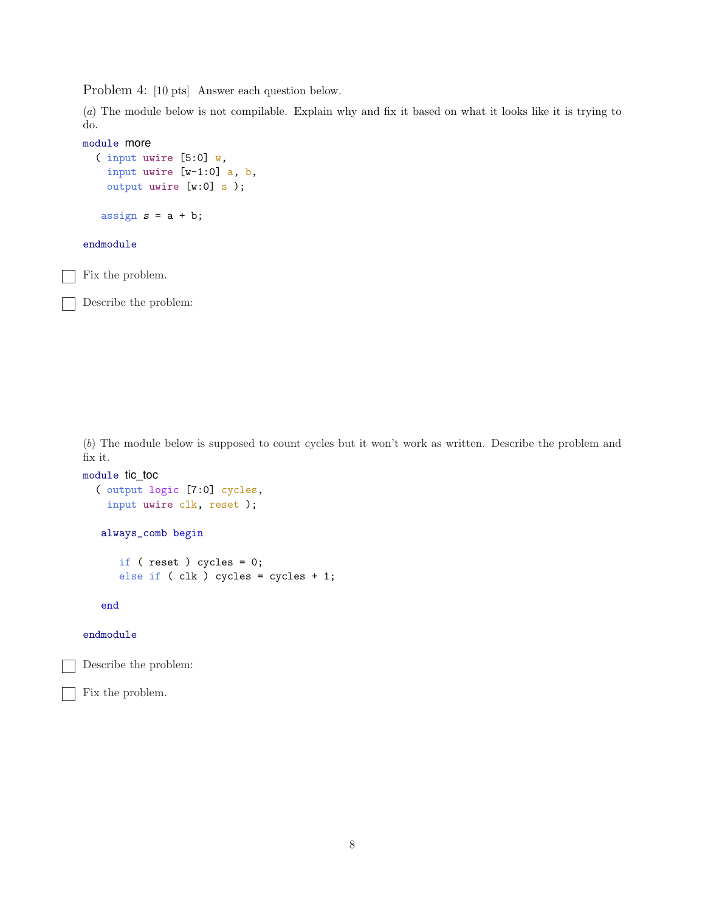Problem 4: [10 pts] Answer each question below.

(a) The module below is not compilable. Explain why and fix it based on what it looks like it is trying to do.

```
module more
  ( input uwire [5:0] w,
    input uwire [w-1:0] a, b,
    output uwire [w:0] s );
   assign s = a + b;
endmodule
Fix the problem.
```
Describe the problem:

(b) The module below is supposed to count cycles but it won't work as written. Describe the problem and fix it.

```
module tic_toc
  ( output logic [7:0] cycles,
    input uwire clk, reset );
   always_comb begin
      if ( reset ) cycles = 0;
      else if ( clk ) cycles = cycles + 1;
   end
```
endmodule

Describe the problem:

Fix the problem.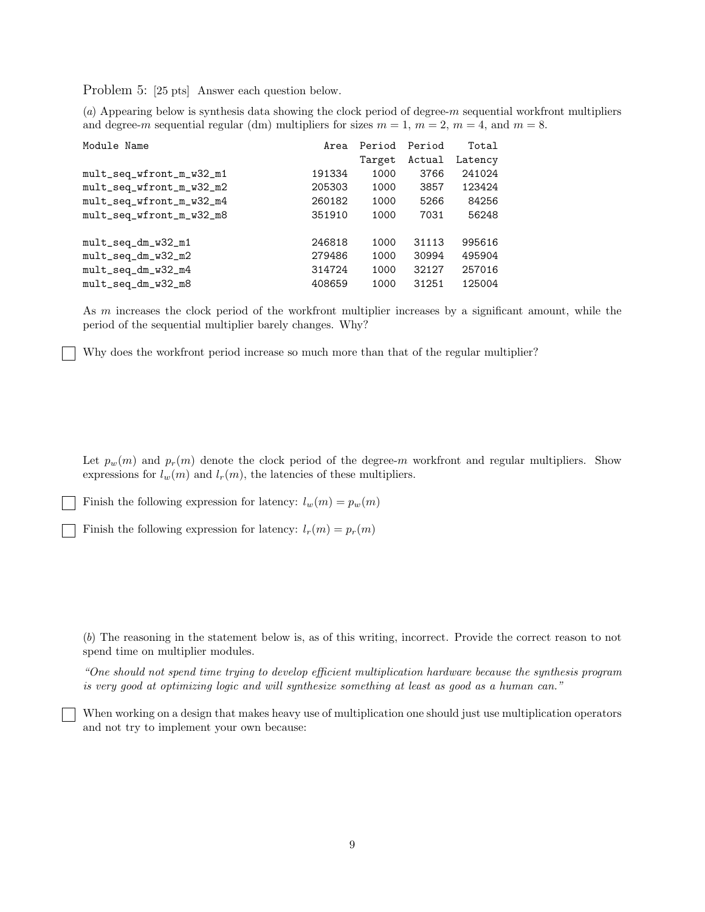Problem 5: [25 pts] Answer each question below.

(a) Appearing below is synthesis data showing the clock period of degree-m sequential workfront multipliers and degree-m sequential regular (dm) multipliers for sizes  $m = 1$ ,  $m = 2$ ,  $m = 4$ , and  $m = 8$ .

| Module Name              | Area   | Period | Period | Total   |
|--------------------------|--------|--------|--------|---------|
|                          |        | Target | Actual | Latency |
| mult_seq_wfront_m_w32_m1 | 191334 | 1000   | 3766   | 241024  |
| mult_seq_wfront_m_w32_m2 | 205303 | 1000   | 3857   | 123424  |
| mult_seq_wfront_m_w32_m4 | 260182 | 1000   | 5266   | 84256   |
| mult_seq_wfront_m_w32_m8 | 351910 | 1000   | 7031   | 56248   |
|                          |        |        |        |         |
| mult_seq_dm_w32_m1       | 246818 | 1000   | 31113  | 995616  |
| mult_seq_dm_w32_m2       | 279486 | 1000   | 30994  | 495904  |
| mult_seq_dm_w32_m4       | 314724 | 1000   | 32127  | 257016  |
| mult_seq_dm_w32_m8       | 408659 | 1000   | 31251  | 125004  |

As m increases the clock period of the workfront multiplier increases by a significant amount, while the period of the sequential multiplier barely changes. Why?

Why does the workfront period increase so much more than that of the regular multiplier?

Let  $p_w(m)$  and  $p_r(m)$  denote the clock period of the degree-m workfront and regular multipliers. Show expressions for  $l_w(m)$  and  $l_r(m)$ , the latencies of these multipliers.

Finish the following expression for latency:  $l_w(m) = p_w(m)$ 

Finish the following expression for latency:  $l_r(m) = p_r(m)$ 

(b) The reasoning in the statement below is, as of this writing, incorrect. Provide the correct reason to not spend time on multiplier modules.

"One should not spend time trying to develop efficient multiplication hardware because the synthesis program is very good at optimizing logic and will synthesize something at least as good as a human can."

When working on a design that makes heavy use of multiplication one should just use multiplication operators and not try to implement your own because: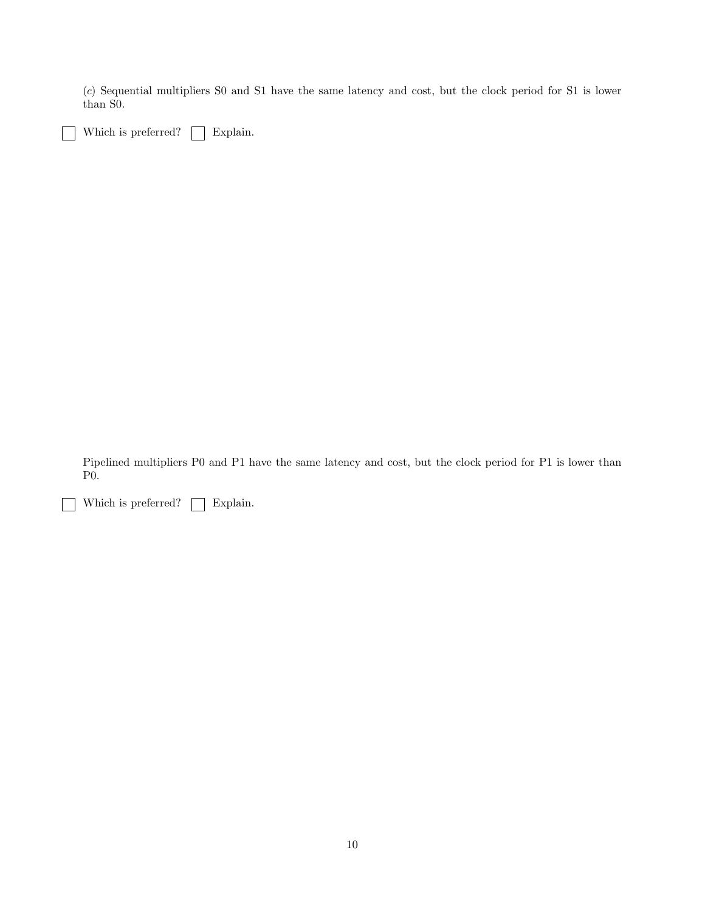(c) Sequential multipliers S0 and S1 have the same latency and cost, but the clock period for S1 is lower than S0.

Which is preferred?  $\Box$  Explain.

Pipelined multipliers P0 and P1 have the same latency and cost, but the clock period for P1 is lower than P0.

Which is preferred?  $\hfill\Box$  <br> Explain. - 1

 $\mathsf{I}$